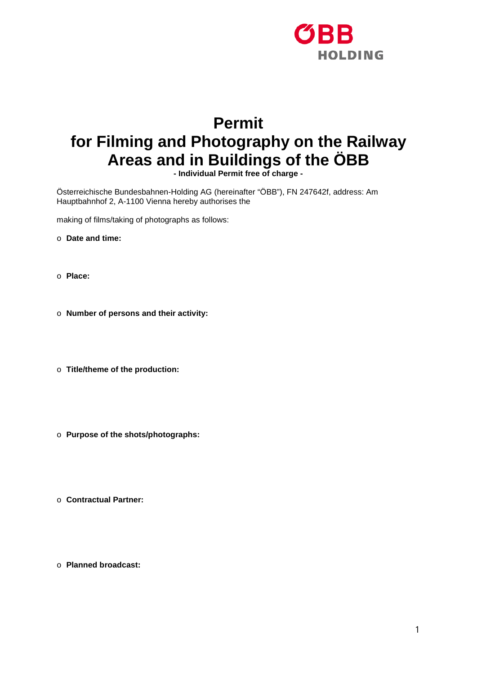

## **Permit for Filming and Photography on the Railway Areas and in Buildings of the ÖBB**

**- Individual Permit free of charge -**

Österreichische Bundesbahnen-Holding AG (hereinafter "ÖBB"), FN 247642f, address: Am Hauptbahnhof 2, A-1100 Vienna hereby authorises the

making of films/taking of photographs as follows:

- o **Date and time:**
- o **Place:**
- o **Number of persons and their activity:**
- o **Title/theme of the production:**
- o **Purpose of the shots/photographs:**
- o **Contractual Partner:**
- o **Planned broadcast:**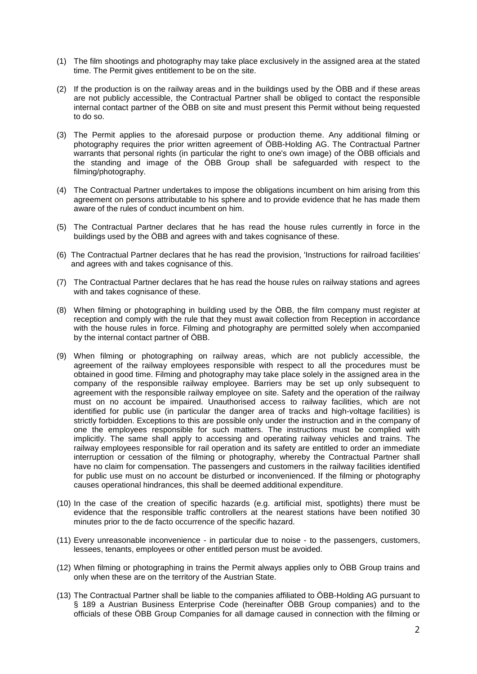- (1) The film shootings and photography may take place exclusively in the assigned area at the stated time. The Permit gives entitlement to be on the site.
- (2) If the production is on the railway areas and in the buildings used by the ÖBB and if these areas are not publicly accessible, the Contractual Partner shall be obliged to contact the responsible internal contact partner of the ÖBB on site and must present this Permit without being requested to do so.
- (3) The Permit applies to the aforesaid purpose or production theme. Any additional filming or photography requires the prior written agreement of ÖBB-Holding AG. The Contractual Partner warrants that personal rights (in particular the right to one's own image) of the ÖBB officials and the standing and image of the ÖBB Group shall be safeguarded with respect to the filming/photography.
- (4) The Contractual Partner undertakes to impose the obligations incumbent on him arising from this agreement on persons attributable to his sphere and to provide evidence that he has made them aware of the rules of conduct incumbent on him.
- (5) The Contractual Partner declares that he has read the house rules currently in force in the buildings used by the ÖBB and agrees with and takes cognisance of these.
- (6) The Contractual Partner declares that he has read the provision, 'Instructions for railroad facilities' and agrees with and takes cognisance of this.
- (7) The Contractual Partner declares that he has read the house rules on railway stations and agrees with and takes cognisance of these.
- (8) When filming or photographing in building used by the ÖBB, the film company must register at reception and comply with the rule that they must await collection from Reception in accordance with the house rules in force. Filming and photography are permitted solely when accompanied by the internal contact partner of ÖBB.
- (9) When filming or photographing on railway areas, which are not publicly accessible, the agreement of the railway employees responsible with respect to all the procedures must be obtained in good time. Filming and photography may take place solely in the assigned area in the company of the responsible railway employee. Barriers may be set up only subsequent to agreement with the responsible railway employee on site. Safety and the operation of the railway must on no account be impaired. Unauthorised access to railway facilities, which are not identified for public use (in particular the danger area of tracks and high-voltage facilities) is strictly forbidden. Exceptions to this are possible only under the instruction and in the company of one the employees responsible for such matters. The instructions must be complied with implicitly. The same shall apply to accessing and operating railway vehicles and trains. The railway employees responsible for rail operation and its safety are entitled to order an immediate interruption or cessation of the filming or photography, whereby the Contractual Partner shall have no claim for compensation. The passengers and customers in the railway facilities identified for public use must on no account be disturbed or inconvenienced. If the filming or photography causes operational hindrances, this shall be deemed additional expenditure.
- (10) In the case of the creation of specific hazards (e.g. artificial mist, spotlights) there must be evidence that the responsible traffic controllers at the nearest stations have been notified 30 minutes prior to the de facto occurrence of the specific hazard.
- (11) Every unreasonable inconvenience in particular due to noise to the passengers, customers, lessees, tenants, employees or other entitled person must be avoided.
- (12) When filming or photographing in trains the Permit always applies only to ÖBB Group trains and only when these are on the territory of the Austrian State.
- (13) The Contractual Partner shall be liable to the companies affiliated to ÖBB-Holding AG pursuant to § 189 a Austrian Business Enterprise Code (hereinafter ÖBB Group companies) and to the officials of these ÖBB Group Companies for all damage caused in connection with the filming or